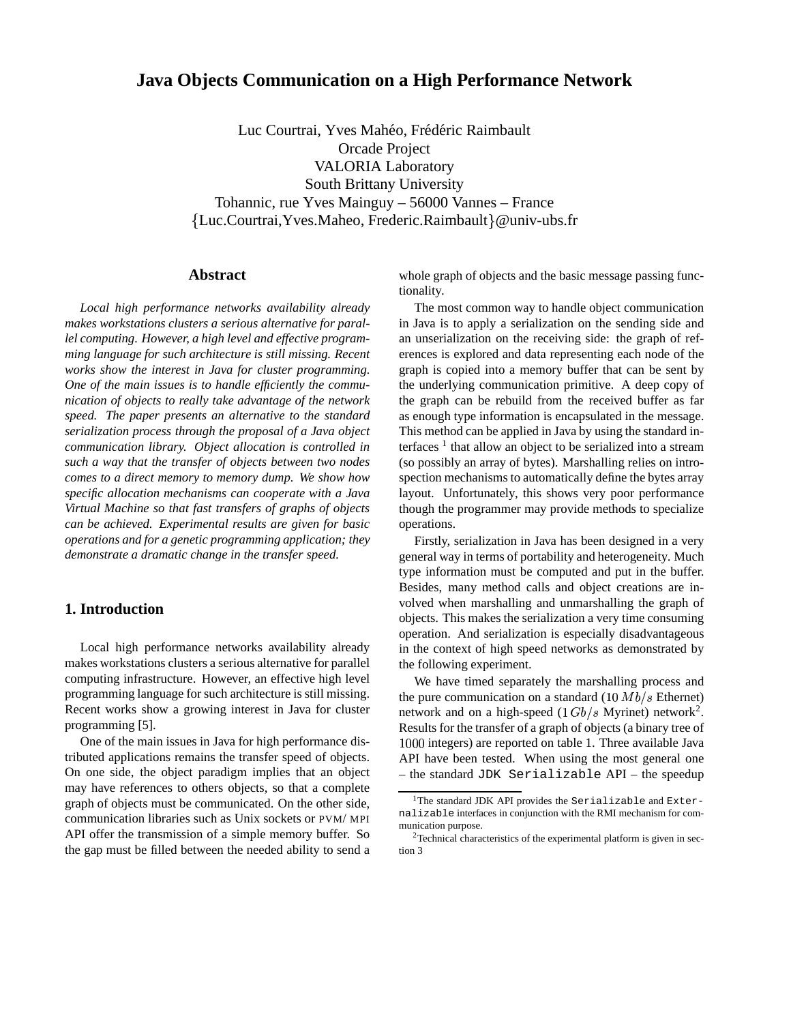# **Java Objects Communication on a High Performance Network**

Luc Courtrai, Yves Mahéo, Frédéric Raimbault Orcade Project VALORIA Laboratory South Brittany University Tohannic, rue Yves Mainguy – 56000 Vannes – France Luc.Courtrai,Yves.Maheo, Frederic.Raimbault @univ-ubs.fr

### **Abstract**

*Local high performance networks availability already makes workstations clusters a serious alternative for parallel computing. However, a high level and effective programming language for such architecture is still missing. Recent works show the interest in Java for cluster programming. One of the main issues is to handle efficiently the communication of objects to really take advantage of the network speed. The paper presents an alternative to the standard serialization process through the proposal of a Java object communication library. Object allocation is controlled in such a way that the transfer of objects between two nodes comes to a direct memory to memory dump. We show how specific allocation mechanisms can cooperate with a Java Virtual Machine so that fast transfers of graphs of objects can be achieved. Experimental results are given for basic operations and for a genetic programming application; they demonstrate a dramatic change in the transfer speed.*

## **1. Introduction**

Local high performance networks availability already makes workstations clusters a serious alternative for parallel computing infrastructure. However, an effective high level programming language for such architecture is still missing. Recent works show a growing interest in Java for cluster programming [5].

One of the main issues in Java for high performance distributed applications remains the transfer speed of objects. On one side, the object paradigm implies that an object may have references to others objects, so that a complete graph of objects must be communicated. On the other side, communication libraries such as Unix sockets or PVM/ MPI API offer the transmission of a simple memory buffer. So the gap must be filled between the needed ability to send a whole graph of objects and the basic message passing functionality.

The most common way to handle object communication in Java is to apply a serialization on the sending side and an unserialization on the receiving side: the graph of references is explored and data representing each node of the graph is copied into a memory buffer that can be sent by the underlying communication primitive. A deep copy of the graph can be rebuild from the received buffer as far as enough type information is encapsulated in the message. This method can be applied in Java by using the standard interfaces  $<sup>1</sup>$  that allow an object to be serialized into a stream</sup> (so possibly an array of bytes). Marshalling relies on introspection mechanisms to automatically define the bytes array layout. Unfortunately, this shows very poor performance though the programmer may provide methods to specialize operations.

Firstly, serialization in Java has been designed in a very general way in terms of portability and heterogeneity. Much type information must be computed and put in the buffer. Besides, many method calls and object creations are involved when marshalling and unmarshalling the graph of objects. This makes the serialization a very time consuming operation. And serialization is especially disadvantageous in the context of high speed networks as demonstrated by the following experiment.

We have timed separately the marshalling process and the pure communication on a standard  $(10 Mb/s)$  Ethernet) network and on a high-speed  $(1\,Gb/s\,Myrinet)$  network<sup>2</sup>. Results for the transfer of a graph of objects (a binary tree of 1000 integers) are reported on table 1. Three available Java API have been tested. When using the most general one – the standard JDK Serializable API – the speedup

<sup>&</sup>lt;sup>1</sup>The standard JDK API provides the Serializable and Externalizable interfaces in conjunction with the RMI mechanism for communication purpose.

<sup>&</sup>lt;sup>2</sup>Technical characteristics of the experimental platform is given in section 3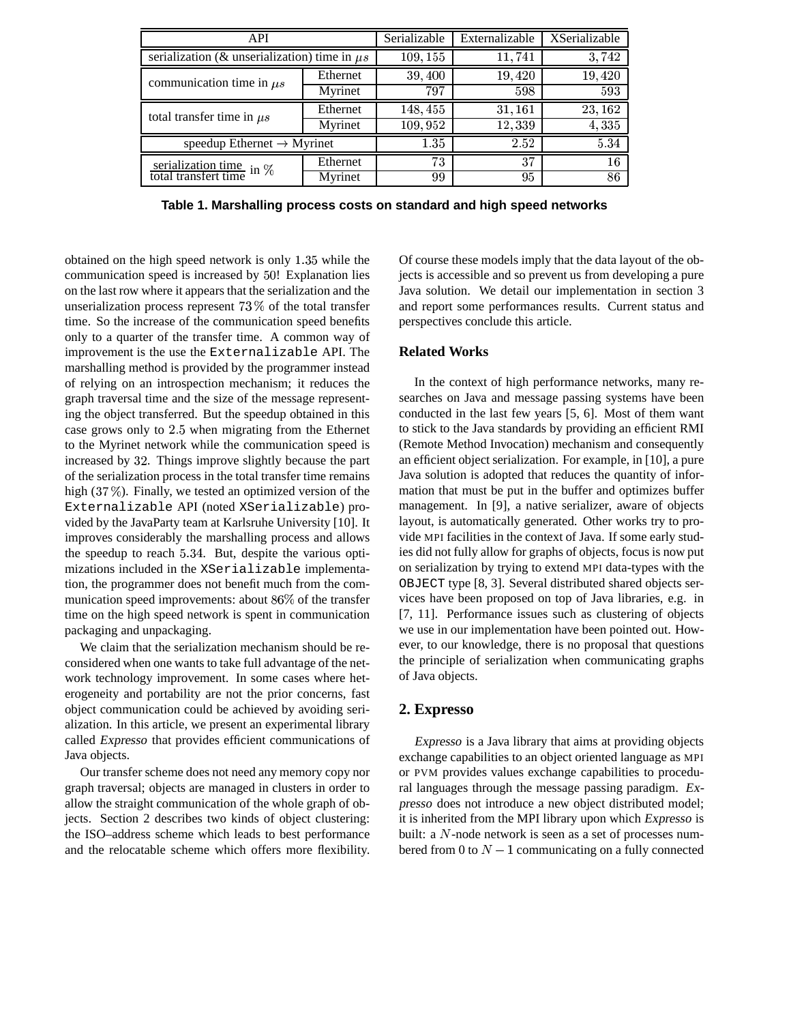| API                                                   | Serializable | Externalizable | XSerializable |         |
|-------------------------------------------------------|--------------|----------------|---------------|---------|
| serialization ( $\&$ unserialization) time in $\mu s$ |              | 109, 155       | 11,741        | 3,742   |
| communication time in $\mu s$                         | Ethernet     | 39,400         | 19,420        | 19,420  |
|                                                       | Myrinet      | 797            | 598           | 593     |
| total transfer time in $\mu s$                        | Ethernet     | 148, 455       | 31,161        | 23, 162 |
|                                                       | Myrinet      | 109, 952       | 12,339        | 4,335   |
| speedup Ethernet $\rightarrow$ Myrinet                |              | 1.35           | 2.52          | 5.34    |
| serialization time in $\%$ total transfert time       | Ethernet     | 73             | 37            | 16      |
|                                                       | Myrinet      | 99             | 95            | 86      |

**Table 1. Marshalling process costs on standard and high speed networks**

obtained on the high speed network is only  $1.35$  while the communication speed is increased by 50! Explanation lies on the last row where it appears that the serialization and the unserialization process represent  $73\%$  of the total transfer time. So the increase of the communication speed benefits only to a quarter of the transfer time. A common way of improvement is the use the Externalizable API. The marshalling method is provided by the programmer instead of relying on an introspection mechanism; it reduces the graph traversal time and the size of the message representing the object transferred. But the speedup obtained in this case grows only to  $2.5$  when migrating from the Ethernet to the Myrinet network while the communication speed is increased by 32. Things improve slightly because the part of the serialization process in the total transfer time remains high  $(37\%)$ . Finally, we tested an optimized version of the Externalizable API (noted XSerializable) provided by the JavaParty team at Karlsruhe University [10]. It improves considerably the marshalling process and allows the speedup to reach 5.34. But, despite the various optimizations included in the XSerializable implementation, the programmer does not benefit much from the communication speed improvements: about  $86\%$  of the transfer time on the high speed network is spent in communication packaging and unpackaging.

We claim that the serialization mechanism should be reconsidered when one wants to take full advantage of the network technology improvement. In some cases where heterogeneity and portability are not the prior concerns, fast object communication could be achieved by avoiding serialization. In this article, we present an experimental library called Expresso that provides efficient communications of Java objects.

Our transfer scheme does not need any memory copy nor graph traversal; objects are managed in clusters in order to allow the straight communication of the whole graph of objects. Section 2 describes two kinds of object clustering: the ISO–address scheme which leads to best performance and the relocatable scheme which offers more flexibility. Of course these models imply that the data layout of the objects is accessible and so prevent us from developing a pure Java solution. We detail our implementation in section 3 and report some performances results. Current status and perspectives conclude this article.

## **Related Works**

In the context of high performance networks, many researches on Java and message passing systems have been conducted in the last few years [5, 6]. Most of them want to stick to the Java standards by providing an efficient RMI (Remote Method Invocation) mechanism and consequently an efficient object serialization. For example, in [10], a pure Java solution is adopted that reduces the quantity of information that must be put in the buffer and optimizes buffer management. In [9], a native serializer, aware of objects layout, is automatically generated. Other works try to provide MPI facilities in the context of Java. If some early studies did not fully allow for graphs of objects, focus is now put on serialization by trying to extend MPI data-types with the OBJECT type [8, 3]. Several distributed shared objects services have been proposed on top of Java libraries, e.g. in [7, 11]. Performance issues such as clustering of objects we use in our implementation have been pointed out. However, to our knowledge, there is no proposal that questions the principle of serialization when communicating graphs of Java objects.

# **2. Expresso**

Expresso is a Java library that aims at providing objects exchange capabilities to an object oriented language as MPI or PVM provides values exchange capabilities to procedural languages through the message passing paradigm. Expresso does not introduce a new object distributed model; it is inherited from the MPI library upon which Expresso is built: a  $N$ -node network is seen as a set of processes numbered from 0 to  $N-1$  communicating on a fully connected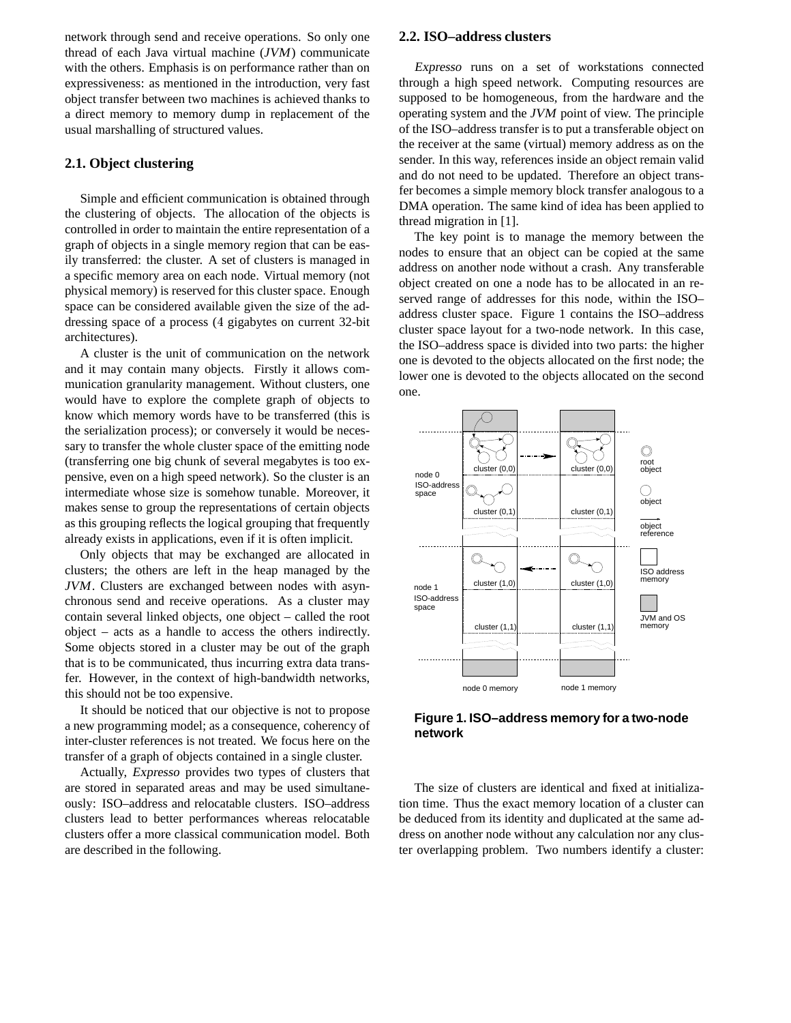network through send and receive operations. So only one thread of each Java virtual machine (JVM) communicate with the others. Emphasis is on performance rather than on expressiveness: as mentioned in the introduction, very fast object transfer between two machines is achieved thanks to a direct memory to memory dump in replacement of the usual marshalling of structured values.

## **2.1. Object clustering**

Simple and efficient communication is obtained through the clustering of objects. The allocation of the objects is controlled in order to maintain the entire representation of a graph of objects in a single memory region that can be easily transferred: the cluster. A set of clusters is managed in a specific memory area on each node. Virtual memory (not physical memory) is reserved for this cluster space. Enough space can be considered available given the size of the addressing space of a process (4 gigabytes on current 32-bit architectures).

A cluster is the unit of communication on the network and it may contain many objects. Firstly it allows communication granularity management. Without clusters, one would have to explore the complete graph of objects to know which memory words have to be transferred (this is the serialization process); or conversely it would be necessary to transfer the whole cluster space of the emitting node (transferring one big chunk of several megabytes is too expensive, even on a high speed network). So the cluster is an intermediate whose size is somehow tunable. Moreover, it makes sense to group the representations of certain objects as this grouping reflects the logical grouping that frequently already exists in applications, even if it is often implicit.

Only objects that may be exchanged are allocated in clusters; the others are left in the heap managed by the JVM. Clusters are exchanged between nodes with asynchronous send and receive operations. As a cluster may contain several linked objects, one object – called the root object – acts as a handle to access the others indirectly. Some objects stored in a cluster may be out of the graph that is to be communicated, thus incurring extra data transfer. However, in the context of high-bandwidth networks, this should not be too expensive.

It should be noticed that our objective is not to propose a new programming model; as a consequence, coherency of inter-cluster references is not treated. We focus here on the transfer of a graph of objects contained in a single cluster.

Actually, Expresso provides two types of clusters that are stored in separated areas and may be used simultaneously: ISO–address and relocatable clusters. ISO–address clusters lead to better performances whereas relocatable clusters offer a more classical communication model. Both are described in the following.

#### **2.2. ISO–address clusters**

Expresso runs on a set of workstations connected through a high speed network. Computing resources are supposed to be homogeneous, from the hardware and the operating system and the JVM point of view. The principle of the ISO–address transfer is to put a transferable object on the receiver at the same (virtual) memory address as on the sender. In this way, references inside an object remain valid and do not need to be updated. Therefore an object transfer becomes a simple memory block transfer analogous to a DMA operation. The same kind of idea has been applied to thread migration in [1].

The key point is to manage the memory between the nodes to ensure that an object can be copied at the same address on another node without a crash. Any transferable object created on one a node has to be allocated in an reserved range of addresses for this node, within the ISO– address cluster space. Figure 1 contains the ISO–address cluster space layout for a two-node network. In this case, the ISO–address space is divided into two parts: the higher one is devoted to the objects allocated on the first node; the lower one is devoted to the objects allocated on the second one.



**Figure 1. ISO–address memory for a two-node network**

The size of clusters are identical and fixed at initialization time. Thus the exact memory location of a cluster can be deduced from its identity and duplicated at the same address on another node without any calculation nor any cluster overlapping problem. Two numbers identify a cluster: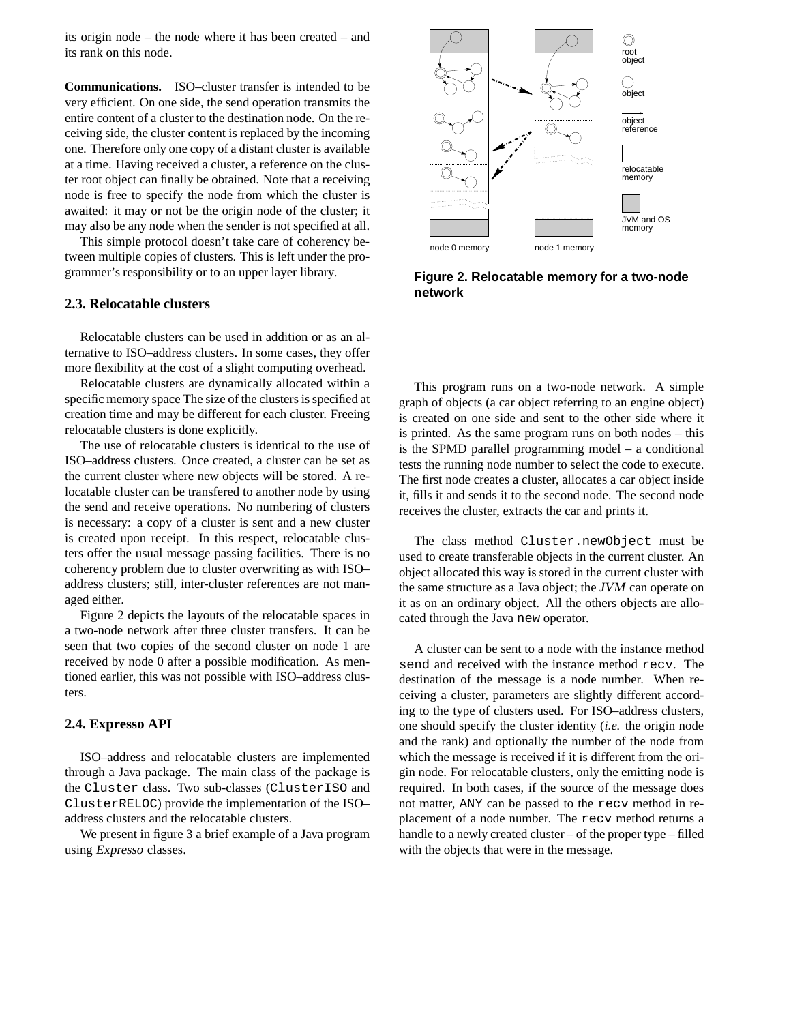its origin node – the node where it has been created – and its rank on this node.

**Communications.** ISO–cluster transfer is intended to be very efficient. On one side, the send operation transmits the entire content of a cluster to the destination node. On the receiving side, the cluster content is replaced by the incoming one. Therefore only one copy of a distant cluster is available at a time. Having received a cluster, a reference on the cluster root object can finally be obtained. Note that a receiving node is free to specify the node from which the cluster is awaited: it may or not be the origin node of the cluster; it may also be any node when the sender is not specified at all.

This simple protocol doesn't take care of coherency between multiple copies of clusters. This is left under the programmer's responsibility or to an upper layer library.

## **2.3. Relocatable clusters**

Relocatable clusters can be used in addition or as an alternative to ISO–address clusters. In some cases, they offer more flexibility at the cost of a slight computing overhead.

Relocatable clusters are dynamically allocated within a specific memory space The size of the clusters is specified at creation time and may be different for each cluster. Freeing relocatable clusters is done explicitly.

The use of relocatable clusters is identical to the use of ISO–address clusters. Once created, a cluster can be set as the current cluster where new objects will be stored. A relocatable cluster can be transfered to another node by using the send and receive operations. No numbering of clusters is necessary: a copy of a cluster is sent and a new cluster is created upon receipt. In this respect, relocatable clusters offer the usual message passing facilities. There is no coherency problem due to cluster overwriting as with ISO– address clusters; still, inter-cluster references are not managed either.

Figure 2 depicts the layouts of the relocatable spaces in a two-node network after three cluster transfers. It can be seen that two copies of the second cluster on node 1 are received by node 0 after a possible modification. As mentioned earlier, this was not possible with ISO–address clusters.

### **2.4. Expresso API**

ISO–address and relocatable clusters are implemented through a Java package. The main class of the package is the Cluster class. Two sub-classes (ClusterISO and ClusterRELOC) provide the implementation of the ISO– address clusters and the relocatable clusters.

We present in figure 3 a brief example of a Java program using Expresso classes.



**Figure 2. Relocatable memory for a two-node network**

This program runs on a two-node network. A simple graph of objects (a car object referring to an engine object) is created on one side and sent to the other side where it is printed. As the same program runs on both nodes – this is the SPMD parallel programming model – a conditional tests the running node number to select the code to execute. The first node creates a cluster, allocates a car object inside it, fills it and sends it to the second node. The second node receives the cluster, extracts the car and prints it.

The class method Cluster.newObject must be used to create transferable objects in the current cluster. An object allocated this way is stored in the current cluster with the same structure as a Java object; the JVM can operate on it as on an ordinary object. All the others objects are allocated through the Java new operator.

A cluster can be sent to a node with the instance method send and received with the instance method recv. The destination of the message is a node number. When receiving a cluster, parameters are slightly different according to the type of clusters used. For ISO–address clusters, one should specify the cluster identity (*i.e.* the origin node and the rank) and optionally the number of the node from which the message is received if it is different from the origin node. For relocatable clusters, only the emitting node is required. In both cases, if the source of the message does not matter, ANY can be passed to the recv method in replacement of a node number. The recv method returns a handle to a newly created cluster – of the proper type – filled with the objects that were in the message.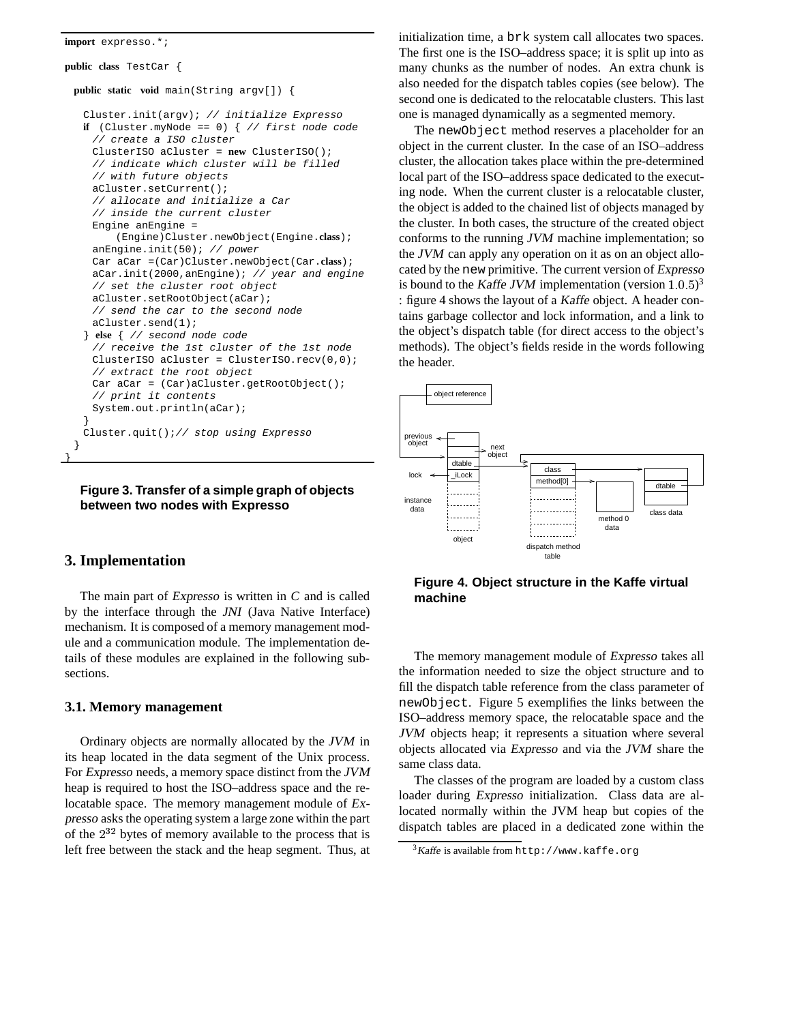```
import expresso.*;
public class TestCar {
 public static void main(String argv[]) {
   Cluster.init(argv); // initialize Expresso
   if (Cluster.myNode == 0) { // first node code
     // create a ISO cluster
    ClusterISO aCluster = new ClusterISO();
    // indicate which cluster will be filled
     // with future objects
    aCluster.setCurrent();
    // allocate and initialize a Car
    // inside the current cluster
    Engine anEngine =
        (Engine)Cluster.newObject(Engine.class);
    anEngine.init(50); // power
    Car aCar =(Car)Cluster.newObject(Car.class);
    aCar.init(2000,anEngine); // year and engine
    // set the cluster root object
    aCluster.setRootObject(aCar);
    // send the car to the second node
    aCluster.send(1);
   } else { // second node code
     // receive the 1st cluster of the 1st node
    ClusterISO aCluster = ClusterISO.recv(0,0);
    // extract the root object
    Car aCar = (Car)aCluster.getRootObject();
    // print it contents
    System.out.println(aCar);
   }
   Cluster.quit();// stop using Expresso
  }
}
```
**Figure 3. Transfer of a simple graph of objects between two nodes with Expresso**

# **3. Implementation**

The main part of Expresso is written in  $C$  and is called by the interface through the JNI (Java Native Interface) mechanism. It is composed of a memory management module and a communication module. The implementation details of these modules are explained in the following subsections.

#### **3.1. Memory management**

Ordinary objects are normally allocated by the JVM in its heap located in the data segment of the Unix process. For Expresso needs, a memory space distinct from the JVM heap is required to host the ISO–address space and the relocatable space. The memory management module of Expresso asksthe operating system a large zone within the part of the  $2^{32}$  bytes of memory available to the process that is left free between the stack and the heap segment. Thus, at

initialization time, a brk system call allocates two spaces. The first one is the ISO–address space; it is split up into as many chunks as the number of nodes. An extra chunk is also needed for the dispatch tables copies (see below). The second one is dedicated to the relocatable clusters. This last one is managed dynamically as a segmented memory.

The newObject method reserves a placeholder for an object in the current cluster. In the case of an ISO–address cluster, the allocation takes place within the pre-determined local part of the ISO–address space dedicated to the executing node. When the current cluster is a relocatable cluster, the object is added to the chained list of objects managed by the cluster. In both cases, the structure of the created object conforms to the running JVM machine implementation; so the JVM can apply any operation on it as on an object allocated by the new primitive. The current version of Expresso is bound to the Kaffe JVM implementation (version  $1.0.5$ )<sup>3</sup> : figure 4 shows the layout of a Kaffe object. A header contains garbage collector and lock information, and a link to the object's dispatch table (for direct access to the object's methods). The object's fields reside in the words following the header.



**Figure 4. Object structure in the Kaffe virtual machine**

The memory management module of Expresso takes all the information needed to size the object structure and to fill the dispatch table reference from the class parameter of newObject. Figure 5 exemplifies the links between the ISO–address memory space, the relocatable space and the JVM objects heap; it represents a situation where several objects allocated via Expresso and via the JVM share the same class data.

The classes of the program are loaded by a custom class loader during Expresso initialization. Class data are allocated normally within the JVM heap but copies of the dispatch tables are placed in a dedicated zone within the

 $3$ Kaffe is available from http://www.kaffe.org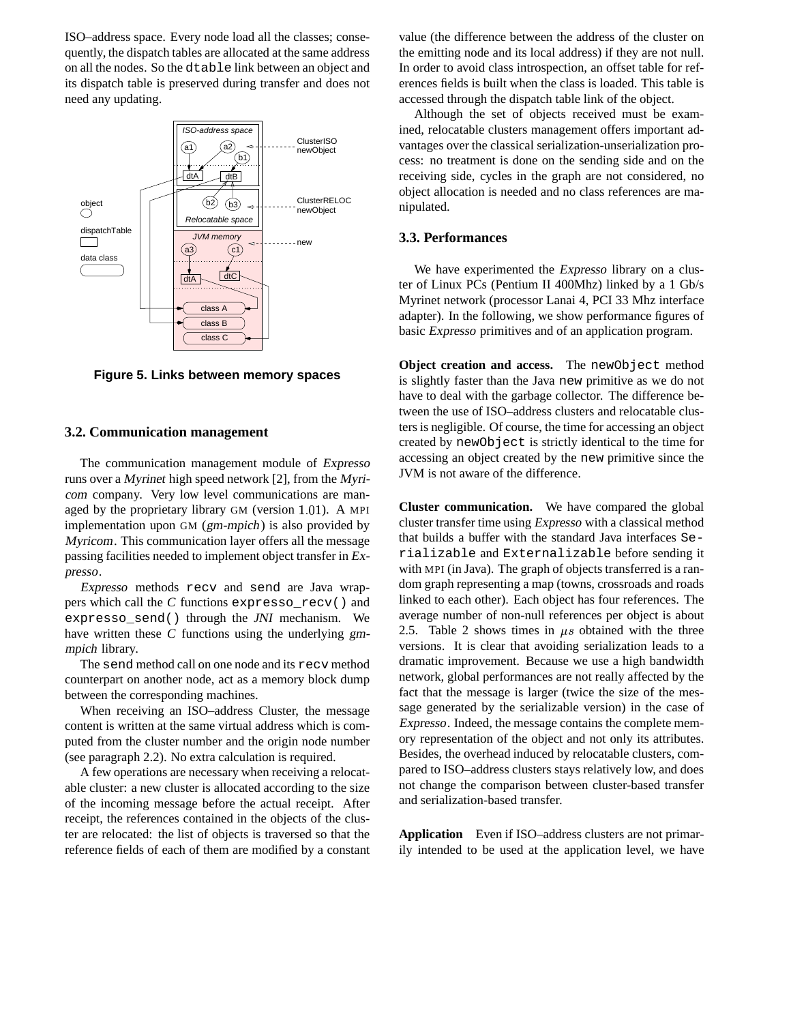ISO–address space. Every node load all the classes; consequently, the dispatch tables are allocated at the same address on all the nodes. So the dtable link between an object and its dispatch table is preserved during transfer and does not need any updating.



**Figure 5. Links between memory spaces**

#### **3.2. Communication management**

The communication management module of Expresso runs over a Myrinet high speed network [2], from the Myricom company. Very low level communications are managed by the proprietary library GM (version 1.01). A MPI implementation upon GM (gm-mpich) is also provided by Myricom. This communication layer offers all the message passing facilities needed to implement object transfer in Expresso.

Expresso methods recv and send are Java wrappers which call the <sup>C</sup> functions expresso\_recv() and expresso\_send() through the JNI mechanism. We have written these <sup>C</sup> functions using the underlying gmmpich library.

The send method call on one node and its recv method counterpart on another node, act as a memory block dump between the corresponding machines.

When receiving an ISO–address Cluster, the message content is written at the same virtual address which is computed from the cluster number and the origin node number (see paragraph 2.2). No extra calculation is required.

A few operations are necessary when receiving a relocatable cluster: a new cluster is allocated according to the size of the incoming message before the actual receipt. After receipt, the references contained in the objects of the cluster are relocated: the list of objects is traversed so that the reference fields of each of them are modified by a constant value (the difference between the address of the cluster on the emitting node and its local address) if they are not null. In order to avoid class introspection, an offset table for references fields is built when the class is loaded. This table is accessed through the dispatch table link of the object.

Although the set of objects received must be examined, relocatable clusters management offers important advantages over the classical serialization-unserialization process: no treatment is done on the sending side and on the receiving side, cycles in the graph are not considered, no object allocation is needed and no class references are manipulated.

#### **3.3. Performances**

We have experimented the Expresso library on a cluster of Linux PCs (Pentium II 400Mhz) linked by a 1 Gb/s Myrinet network (processor Lanai 4, PCI 33 Mhz interface adapter). In the following, we show performance figures of basic Expresso primitives and of an application program.

**Object creation and access.** The newObject method is slightly faster than the Java new primitive as we do not have to deal with the garbage collector. The difference between the use of ISO–address clusters and relocatable clustersis negligible. Of course, the time for accessing an object created by newObject is strictly identical to the time for accessing an object created by the new primitive since the JVM is not aware of the difference.

**Cluster communication.** We have compared the global cluster transfer time using Expresso with a classical method that builds a buffer with the standard Java interfaces Serializable and Externalizable before sending it with MPI (in Java). The graph of objects transferred is a random graph representing a map (towns, crossroads and roads linked to each other). Each object has four references. The average number of non-null references per object is about 2.5. Table 2 shows times in  $\mu s$  obtained with the three versions. It is clear that avoiding serialization leads to a dramatic improvement. Because we use a high bandwidth network, global performances are not really affected by the fact that the message is larger (twice the size of the message generated by the serializable version) in the case of Expresso. Indeed, the message contains the complete memory representation of the object and not only its attributes. Besides, the overhead induced by relocatable clusters, compared to ISO–address clusters stays relatively low, and does not change the comparison between cluster-based transfer and serialization-based transfer.

**Application** Even if ISO–address clusters are not primarily intended to be used at the application level, we have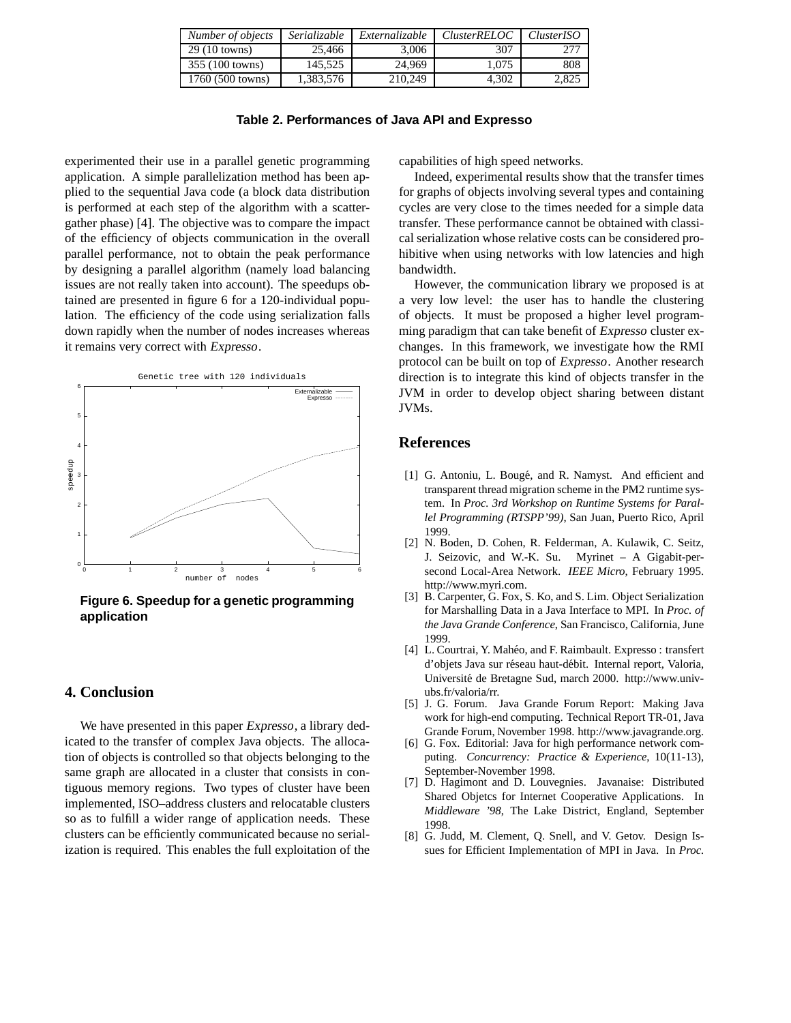| Number of objects | Serializable | Externalizable | <i>ClusterRELOC</i> | <i>ClusterISO</i> |
|-------------------|--------------|----------------|---------------------|-------------------|
| 29 (10 towns)     | 25,466       | 3.006          | 307                 | 277               |
| 355 (100 towns)   | 145.525      | 24,969         | 1.075               | 808               |
| 1760 (500 towns)  | 1,383,576    | 210.249        | 4.302               | 2.825             |

|  | Table 2. Performances of Java API and Expresso |  |  |  |
|--|------------------------------------------------|--|--|--|
|--|------------------------------------------------|--|--|--|

experimented their use in a parallel genetic programming application. A simple parallelization method has been applied to the sequential Java code (a block data distribution is performed at each step of the algorithm with a scattergather phase) [4]. The objective was to compare the impact of the efficiency of objects communication in the overall parallel performance, not to obtain the peak performance by designing a parallel algorithm (namely load balancing issues are not really taken into account). The speedups obtained are presented in figure 6 for a 120-individual population. The efficiency of the code using serialization falls down rapidly when the number of nodes increases whereas it remains very correct with Expresso.



**Figure 6. Speedup for a genetic programming application**

### **4. Conclusion**

We have presented in this paper Expresso, a library dedicated to the transfer of complex Java objects. The allocation of objects is controlled so that objects belonging to the same graph are allocated in a cluster that consists in contiguous memory regions. Two types of cluster have been implemented, ISO–address clusters and relocatable clusters so as to fulfill a wider range of application needs. These clusters can be efficiently communicated because no serialization is required. This enables the full exploitation of the

capabilities of high speed networks.

Indeed, experimental results show that the transfer times for graphs of objects involving several types and containing cycles are very close to the times needed for a simple data transfer. These performance cannot be obtained with classical serialization whose relative costs can be considered prohibitive when using networks with low latencies and high bandwidth.

However, the communication library we proposed is at a very low level: the user has to handle the clustering of objects. It must be proposed a higher level programming paradigm that can take benefit of Expresso cluster exchanges. In this framework, we investigate how the RMI protocol can be built on top of Expresso. Another research direction is to integrate this kind of objects transfer in the JVM in order to develop object sharing between distant JVMs.

### **References**

- [1] G. Antoniu, L. Bougé, and R. Namyst. And efficient and transparent thread migration scheme in the PM2 runtime system. In *Proc. 3rd Workshop on Runtime Systems for Parallel Programming (RTSPP'99)*, San Juan, Puerto Rico, April 1999.
- [2] N. Boden, D. Cohen, R. Felderman, A. Kulawik, C. Seitz, J. Seizovic, and W.-K. Su. Myrinet – A Gigabit-persecond Local-Area Network. *IEEE Micro*, February 1995. http://www.myri.com.
- [3] B. Carpenter, G. Fox, S. Ko, and S. Lim. Object Serialization for Marshalling Data in a Java Interface to MPI. In *Proc. of the Java Grande Conference*, San Francisco, California, June 1999.
- [4] L. Courtrai, Y. Mahéo, and F. Raimbault. Expresso : transfert d'objets Java sur réseau haut-débit. Internal report, Valoria, Universite´ de Bretagne Sud, march 2000. http://www.univubs.fr/valoria/rr.
- [5] J. G. Forum. Java Grande Forum Report: Making Java work for high-end computing. Technical Report TR-01, Java Grande Forum, November 1998. http://www.javagrande.org.
- [6] G. Fox. Editorial: Java for high performance network computing. *Concurrency: Practice & Experience*, 10(11-13), September-November 1998.
- [7] D. Hagimont and D. Louvegnies. Javanaise: Distributed Shared Objetcs for Internet Cooperative Applications. In *Middleware '98*, The Lake District, England, September 1998.
- [8] G. Judd, M. Clement, Q. Snell, and V. Getov. Design Issues for Efficient Implementation of MPI in Java. In *Proc.*